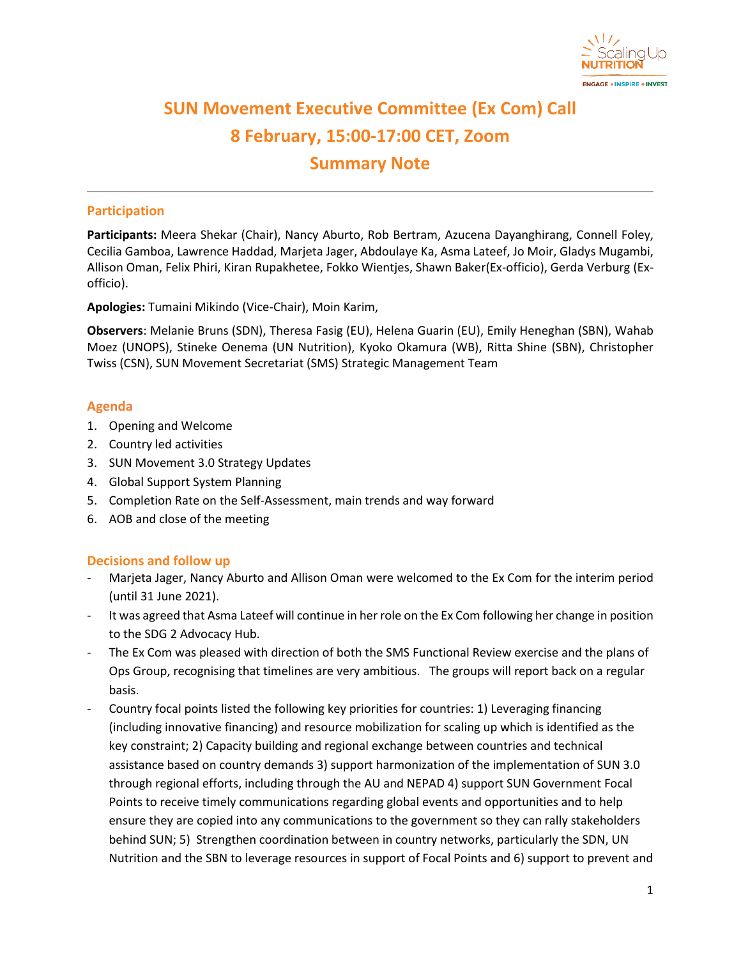

# **SUN Movement Executive Committee (Ex Com) Call 8 February, 15:00-17:00 CET, Zoom Summary Note**

## **Participation**

**Participants:** Meera Shekar (Chair), Nancy Aburto, Rob Bertram, Azucena Dayanghirang, Connell Foley, Cecilia Gamboa, Lawrence Haddad, Marjeta Jager, Abdoulaye Ka, Asma Lateef, Jo Moir, Gladys Mugambi, Allison Oman, Felix Phiri, Kiran Rupakhetee, Fokko Wientjes, Shawn Baker(Ex-officio), Gerda Verburg (Exofficio).

**Apologies:** Tumaini Mikindo (Vice-Chair), Moin Karim,

**Observers**: Melanie Bruns (SDN), Theresa Fasig (EU), Helena Guarin (EU), Emily Heneghan (SBN), Wahab Moez (UNOPS), Stineke Oenema (UN Nutrition), Kyoko Okamura (WB), Ritta Shine (SBN), Christopher Twiss (CSN), SUN Movement Secretariat (SMS) Strategic Management Team

## **Agenda**

- 1. Opening and Welcome
- 2. Country led activities
- 3. SUN Movement 3.0 Strategy Updates
- 4. Global Support System Planning
- 5. Completion Rate on the Self-Assessment, main trends and way forward
- 6. AOB and close of the meeting

## **Decisions and follow up**

- Marjeta Jager, Nancy Aburto and Allison Oman were welcomed to the Ex Com for the interim period (until 31 June 2021).
- It was agreed that Asma Lateef will continue in her role on the Ex Com following her change in position to the SDG 2 Advocacy Hub.
- The Ex Com was pleased with direction of both the SMS Functional Review exercise and the plans of Ops Group, recognising that timelines are very ambitious. The groups will report back on a regular basis.
- Country focal points listed the following key priorities for countries: 1) Leveraging financing (including innovative financing) and resource mobilization for scaling up which is identified as the key constraint; 2) Capacity building and regional exchange between countries and technical assistance based on country demands 3) support harmonization of the implementation of SUN 3.0 through regional efforts, including through the AU and NEPAD 4) support SUN Government Focal Points to receive timely communications regarding global events and opportunities and to help ensure they are copied into any communications to the government so they can rally stakeholders behind SUN; 5) Strengthen coordination between in country networks, particularly the SDN, UN Nutrition and the SBN to leverage resources in support of Focal Points and 6) support to prevent and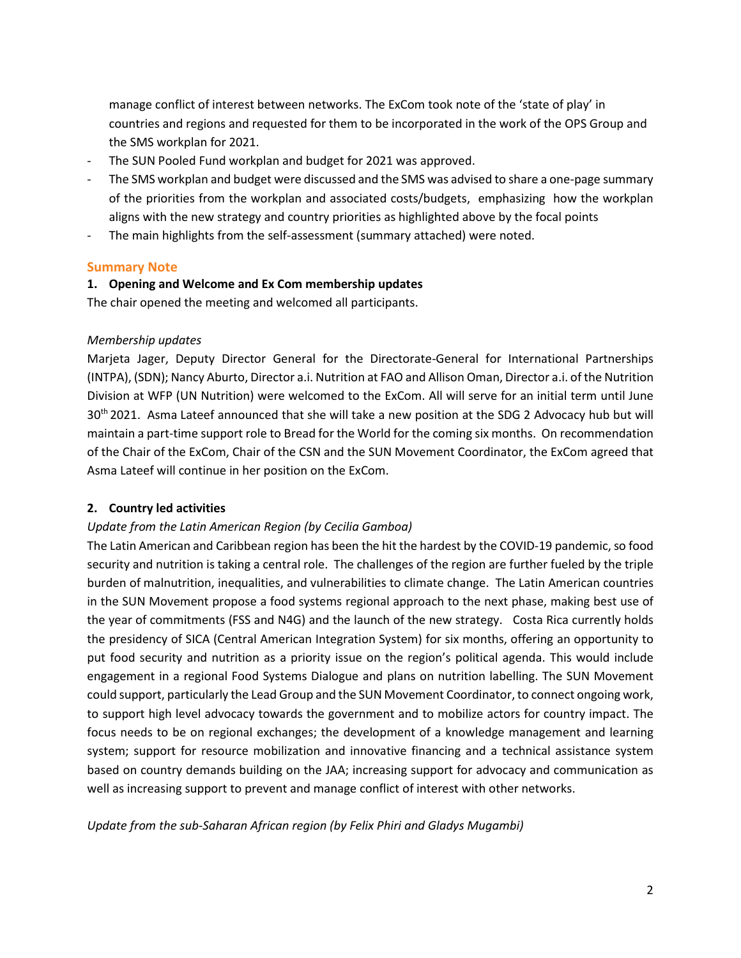manage conflict of interest between networks. The ExCom took note of the 'state of play' in countries and regions and requested for them to be incorporated in the work of the OPS Group and the SMS workplan for 2021.

- The SUN Pooled Fund workplan and budget for 2021 was approved.
- The SMS workplan and budget were discussed and the SMS was advised to share a one-page summary of the priorities from the workplan and associated costs/budgets, emphasizing how the workplan aligns with the new strategy and country priorities as highlighted above by the focal points
- The main highlights from the self-assessment (summary attached) were noted.

#### **Summary Note**

#### **1. Opening and Welcome and Ex Com membership updates**

The chair opened the meeting and welcomed all participants.

#### *Membership updates*

Marjeta Jager, Deputy Director General for the Directorate-General for International Partnerships (INTPA), (SDN); Nancy Aburto, Director a.i. Nutrition at FAO and Allison Oman, Director a.i. of the Nutrition Division at WFP (UN Nutrition) were welcomed to the ExCom. All will serve for an initial term until June 30th 2021. Asma Lateef announced that she will take a new position at the SDG 2 Advocacy hub but will maintain a part-time support role to Bread for the World for the coming six months. On recommendation of the Chair of the ExCom, Chair of the CSN and the SUN Movement Coordinator, the ExCom agreed that Asma Lateef will continue in her position on the ExCom.

## **2. Country led activities**

## *Update from the Latin American Region (by Cecilia Gamboa)*

The Latin American and Caribbean region has been the hit the hardest by the COVID-19 pandemic, so food security and nutrition is taking a central role. The challenges of the region are further fueled by the triple burden of malnutrition, inequalities, and vulnerabilities to climate change. The Latin American countries in the SUN Movement propose a food systems regional approach to the next phase, making best use of the year of commitments (FSS and N4G) and the launch of the new strategy. Costa Rica currently holds the presidency of SICA (Central American Integration System) for six months, offering an opportunity to put food security and nutrition as a priority issue on the region's political agenda. This would include engagement in a regional Food Systems Dialogue and plans on nutrition labelling. The SUN Movement could support, particularly the Lead Group and the SUN Movement Coordinator, to connect ongoing work, to support high level advocacy towards the government and to mobilize actors for country impact. The focus needs to be on regional exchanges; the development of a knowledge management and learning system; support for resource mobilization and innovative financing and a technical assistance system based on country demands building on the JAA; increasing support for advocacy and communication as well as increasing support to prevent and manage conflict of interest with other networks.

*Update from the sub-Saharan African region (by Felix Phiri and Gladys Mugambi)*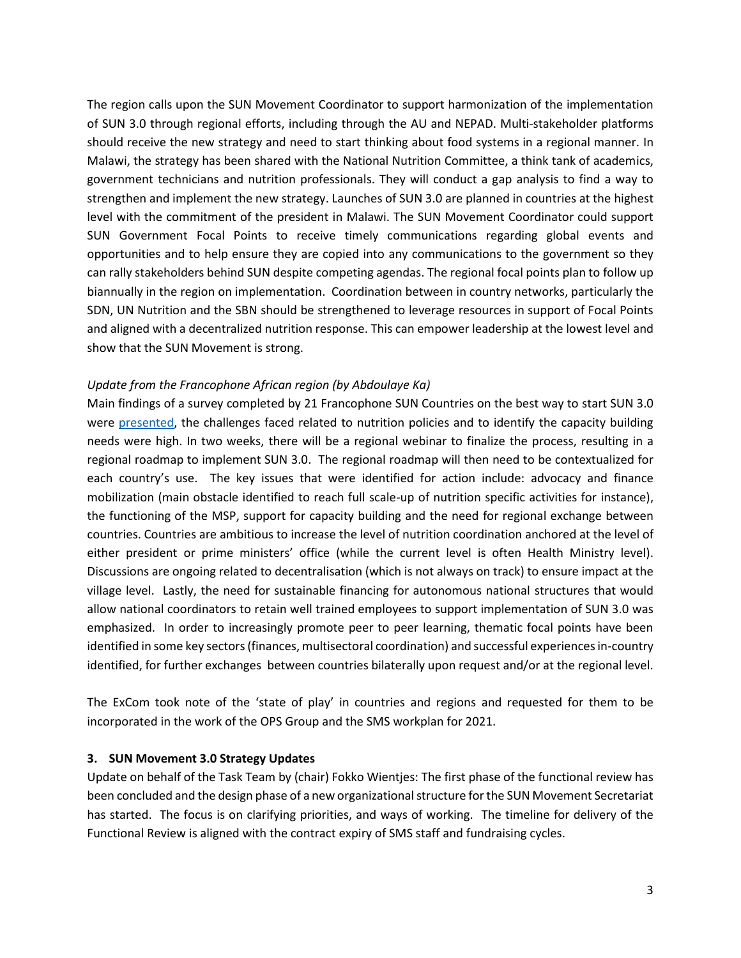The region calls upon the SUN Movement Coordinator to support harmonization of the implementation of SUN 3.0 through regional efforts, including through the AU and NEPAD. Multi-stakeholder platforms should receive the new strategy and need to start thinking about food systems in a regional manner. In Malawi, the strategy has been shared with the National Nutrition Committee, a think tank of academics, government technicians and nutrition professionals. They will conduct a gap analysis to find a way to strengthen and implement the new strategy. Launches of SUN 3.0 are planned in countries at the highest level with the commitment of the president in Malawi. The SUN Movement Coordinator could support SUN Government Focal Points to receive timely communications regarding global events and opportunities and to help ensure they are copied into any communications to the government so they can rally stakeholders behind SUN despite competing agendas. The regional focal points plan to follow up biannually in the region on implementation. Coordination between in country networks, particularly the SDN, UN Nutrition and the SBN should be strengthened to leverage resources in support of Focal Points and aligned with a decentralized nutrition response. This can empower leadership at the lowest level and show that the SUN Movement is strong.

## *Update from the Francophone African region (by Abdoulaye Ka)*

Main findings of a survey completed by 21 Francophone SUN Countries on the best way to start SUN 3.0 were [presented,](https://scalingupnutrition.sharepoint.com/:p:/s/public55/EST40fX28SJMm2-Qb__gl_cBCHerG6aT3SaoN1h5rMp2Bw?e=wdlZ6m) the challenges faced related to nutrition policies and to identify the capacity building needs were high. In two weeks, there will be a regional webinar to finalize the process, resulting in a regional roadmap to implement SUN 3.0. The regional roadmap will then need to be contextualized for each country's use. The key issues that were identified for action include: advocacy and finance mobilization (main obstacle identified to reach full scale-up of nutrition specific activities for instance), the functioning of the MSP, support for capacity building and the need for regional exchange between countries. Countries are ambitious to increase the level of nutrition coordination anchored at the level of either president or prime ministers' office (while the current level is often Health Ministry level). Discussions are ongoing related to decentralisation (which is not always on track) to ensure impact at the village level. Lastly, the need for sustainable financing for autonomous national structures that would allow national coordinators to retain well trained employees to support implementation of SUN 3.0 was emphasized. In order to increasingly promote peer to peer learning, thematic focal points have been identified in some key sectors (finances, multisectoral coordination) and successful experiences in-country identified, for further exchanges between countries bilaterally upon request and/or at the regional level.

The ExCom took note of the 'state of play' in countries and regions and requested for them to be incorporated in the work of the OPS Group and the SMS workplan for 2021.

## **3. SUN Movement 3.0 Strategy Updates**

Update on behalf of the Task Team by (chair) Fokko Wientjes: The first phase of the functional review has been concluded and the design phase of a new organizational structure for the SUN Movement Secretariat has started. The focus is on clarifying priorities, and ways of working. The timeline for delivery of the Functional Review is aligned with the contract expiry of SMS staff and fundraising cycles.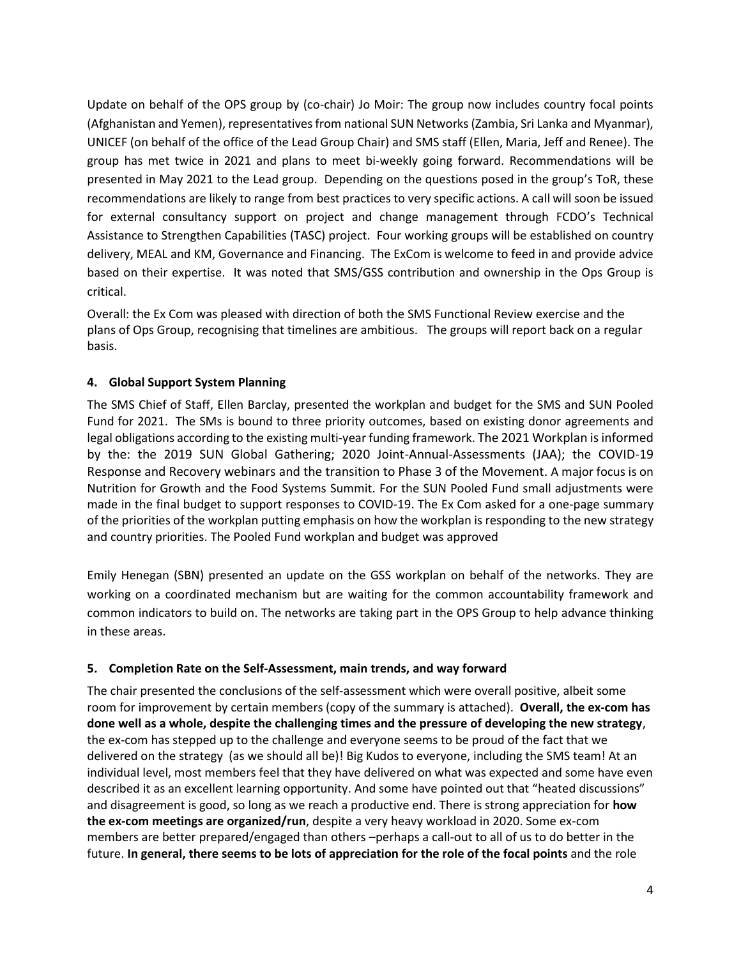Update on behalf of the OPS group by (co-chair) Jo Moir: The group now includes country focal points (Afghanistan and Yemen), representatives from national SUN Networks(Zambia, Sri Lanka and Myanmar), UNICEF (on behalf of the office of the Lead Group Chair) and SMS staff (Ellen, Maria, Jeff and Renee). The group has met twice in 2021 and plans to meet bi-weekly going forward. Recommendations will be presented in May 2021 to the Lead group. Depending on the questions posed in the group's ToR, these recommendations are likely to range from best practices to very specific actions. A call will soon be issued for external consultancy support on project and change management through FCDO's Technical Assistance to Strengthen Capabilities (TASC) project. Four working groups will be established on country delivery, MEAL and KM, Governance and Financing. The ExCom is welcome to feed in and provide advice based on their expertise. It was noted that SMS/GSS contribution and ownership in the Ops Group is critical.

Overall: the Ex Com was pleased with direction of both the SMS Functional Review exercise and the plans of Ops Group, recognising that timelines are ambitious. The groups will report back on a regular basis.

# **4. Global Support System Planning**

The SMS Chief of Staff, Ellen Barclay, presented the workplan and budget for the SMS and SUN Pooled Fund for 2021. The SMs is bound to three priority outcomes, based on existing donor agreements and legal obligations according to the existing multi-year funding framework. The 2021 Workplan is informed by the: the 2019 SUN Global Gathering; 2020 Joint-Annual-Assessments (JAA); the COVID-19 Response and Recovery webinars and the transition to Phase 3 of the Movement. A major focus is on Nutrition for Growth and the Food Systems Summit. For the SUN Pooled Fund small adjustments were made in the final budget to support responses to COVID-19. The Ex Com asked for a one-page summary of the priorities of the workplan putting emphasis on how the workplan is responding to the new strategy and country priorities. The Pooled Fund workplan and budget was approved

Emily Henegan (SBN) presented an update on the GSS workplan on behalf of the networks. They are working on a coordinated mechanism but are waiting for the common accountability framework and common indicators to build on. The networks are taking part in the OPS Group to help advance thinking in these areas.

## **5. Completion Rate on the Self-Assessment, main trends, and way forward**

The chair presented the conclusions of the self-assessment which were overall positive, albeit some room for improvement by certain members (copy of the summary is attached). **Overall, the ex-com has done well as a whole, despite the challenging times and the pressure of developing the new strategy**, the ex-com has stepped up to the challenge and everyone seems to be proud of the fact that we delivered on the strategy (as we should all be)! Big Kudos to everyone, including the SMS team! At an individual level, most members feel that they have delivered on what was expected and some have even described it as an excellent learning opportunity. And some have pointed out that "heated discussions" and disagreement is good, so long as we reach a productive end. There is strong appreciation for **how the ex-com meetings are organized/run**, despite a very heavy workload in 2020. Some ex-com members are better prepared/engaged than others –perhaps a call-out to all of us to do better in the future. **In general, there seems to be lots of appreciation for the role of the focal points** and the role